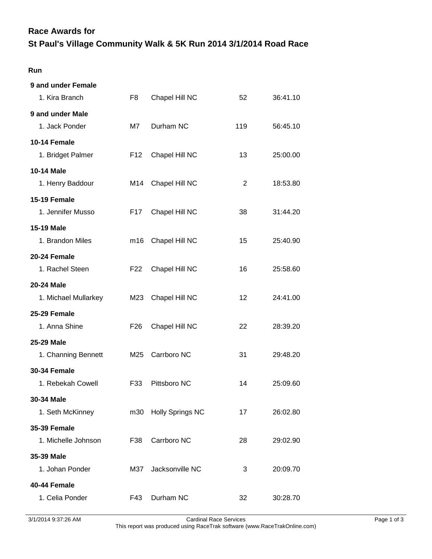## **Race Awards for**

## **St Paul's Village Community Walk & 5K Run 2014 3/1/2014 Road Race**

## **Run**

| 9 and under Female   |                 |                         |                   |          |
|----------------------|-----------------|-------------------------|-------------------|----------|
| 1. Kira Branch       | F8              | Chapel Hill NC          | 52                | 36:41.10 |
| 9 and under Male     |                 |                         |                   |          |
| 1. Jack Ponder       | M7              | Durham NC               | 119               | 56:45.10 |
| 10-14 Female         |                 |                         |                   |          |
| 1. Bridget Palmer    | F <sub>12</sub> | Chapel Hill NC          | 13                | 25:00.00 |
| <b>10-14 Male</b>    |                 |                         |                   |          |
| 1. Henry Baddour     | M14             | Chapel Hill NC          | 2                 | 18:53.80 |
| <b>15-19 Female</b>  |                 |                         |                   |          |
| 1. Jennifer Musso    | F17             | Chapel Hill NC          | 38                | 31:44.20 |
| <b>15-19 Male</b>    |                 |                         |                   |          |
| 1. Brandon Miles     | m16             | Chapel Hill NC          | 15                | 25:40.90 |
| 20-24 Female         |                 |                         |                   |          |
| 1. Rachel Steen      | F <sub>22</sub> | Chapel Hill NC          | 16                | 25:58.60 |
| 20-24 Male           |                 |                         |                   |          |
| 1. Michael Mullarkey | M23             | Chapel Hill NC          | $12 \overline{ }$ | 24:41.00 |
| 25-29 Female         |                 |                         |                   |          |
| 1. Anna Shine        | F <sub>26</sub> | Chapel Hill NC          | 22                | 28:39.20 |
| 25-29 Male           |                 |                         |                   |          |
| 1. Channing Bennett  | M25             | Carrboro NC             | 31                | 29:48.20 |
| <b>30-34 Female</b>  |                 |                         |                   |          |
| 1. Rebekah Cowell    | F33             | Pittsboro NC            | 14                | 25:09.60 |
| 30-34 Male           |                 |                         |                   |          |
| 1. Seth McKinney     | m30             | <b>Holly Springs NC</b> | 17                | 26:02.80 |
| <b>35-39 Female</b>  |                 |                         |                   |          |
| 1. Michelle Johnson  | F38             | Carrboro NC             | 28                | 29:02.90 |
| 35-39 Male           |                 |                         |                   |          |
| 1. Johan Ponder      | M37             | Jacksonville NC         | 3                 | 20:09.70 |
| 40-44 Female         |                 |                         |                   |          |
| 1. Celia Ponder      | F43             | Durham NC               | 32                | 30:28.70 |
|                      |                 |                         |                   |          |